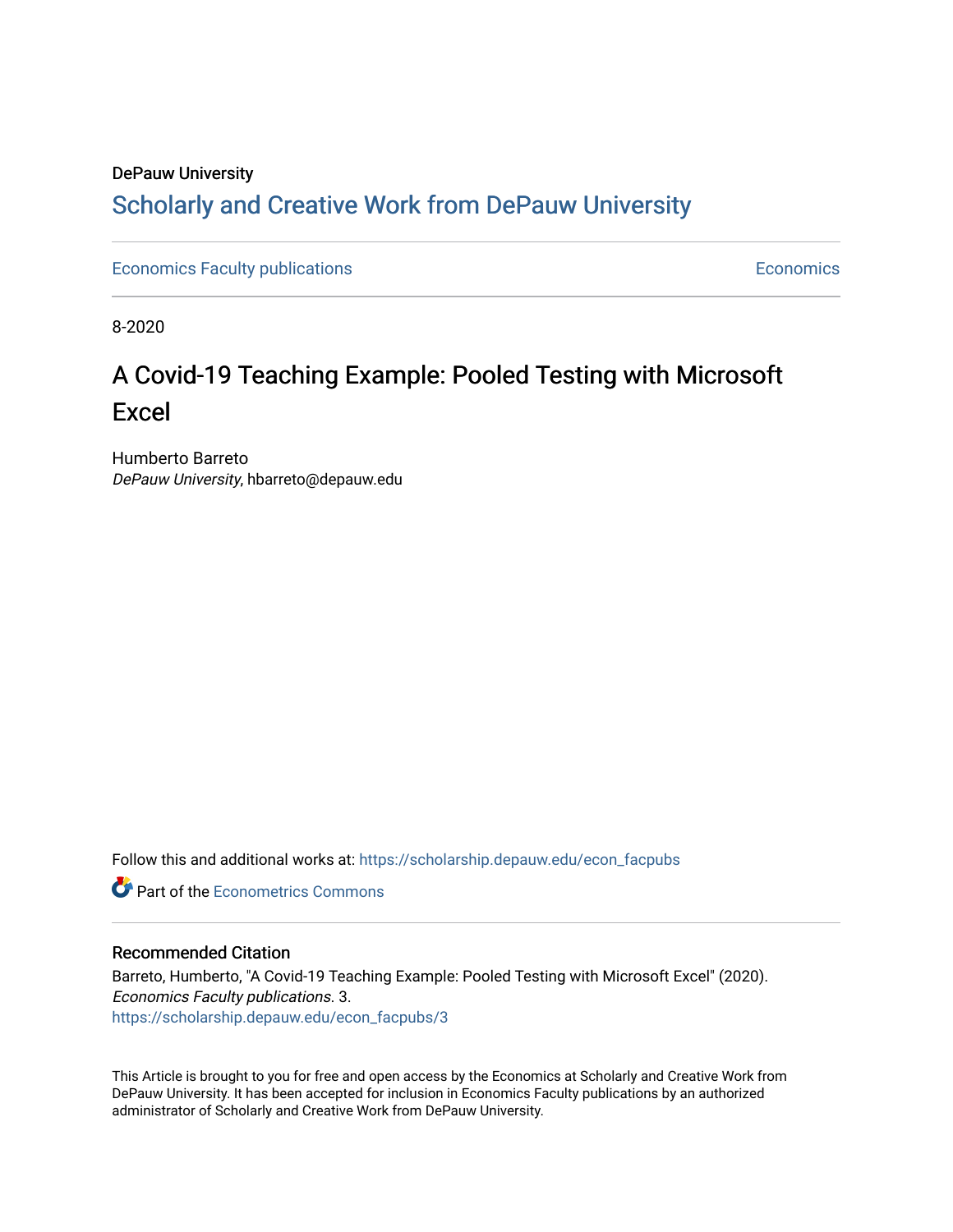## DePauw University Scholarly and [Creative Work from DePauw Univ](https://scholarship.depauw.edu/)ersity

[Economics Faculty publications](https://scholarship.depauw.edu/econ_facpubs) **Economics** [Economics](https://scholarship.depauw.edu/economics) **Economics** 

8-2020

# A Covid-19 Teaching Example: Pooled Testing with Microsoft Excel

Humberto Barreto DePauw University, hbarreto@depauw.edu

Follow this and additional works at: [https://scholarship.depauw.edu/econ\\_facpubs](https://scholarship.depauw.edu/econ_facpubs?utm_source=scholarship.depauw.edu%2Fecon_facpubs%2F3&utm_medium=PDF&utm_campaign=PDFCoverPages)

**C** Part of the [Econometrics Commons](https://network.bepress.com/hgg/discipline/342?utm_source=scholarship.depauw.edu%2Fecon_facpubs%2F3&utm_medium=PDF&utm_campaign=PDFCoverPages)

#### Recommended Citation

Barreto, Humberto, "A Covid-19 Teaching Example: Pooled Testing with Microsoft Excel" (2020). Economics Faculty publications. 3. [https://scholarship.depauw.edu/econ\\_facpubs/3](https://scholarship.depauw.edu/econ_facpubs/3?utm_source=scholarship.depauw.edu%2Fecon_facpubs%2F3&utm_medium=PDF&utm_campaign=PDFCoverPages)

This Article is brought to you for free and open access by the Economics at Scholarly and Creative Work from DePauw University. It has been accepted for inclusion in Economics Faculty publications by an authorized administrator of Scholarly and Creative Work from DePauw University.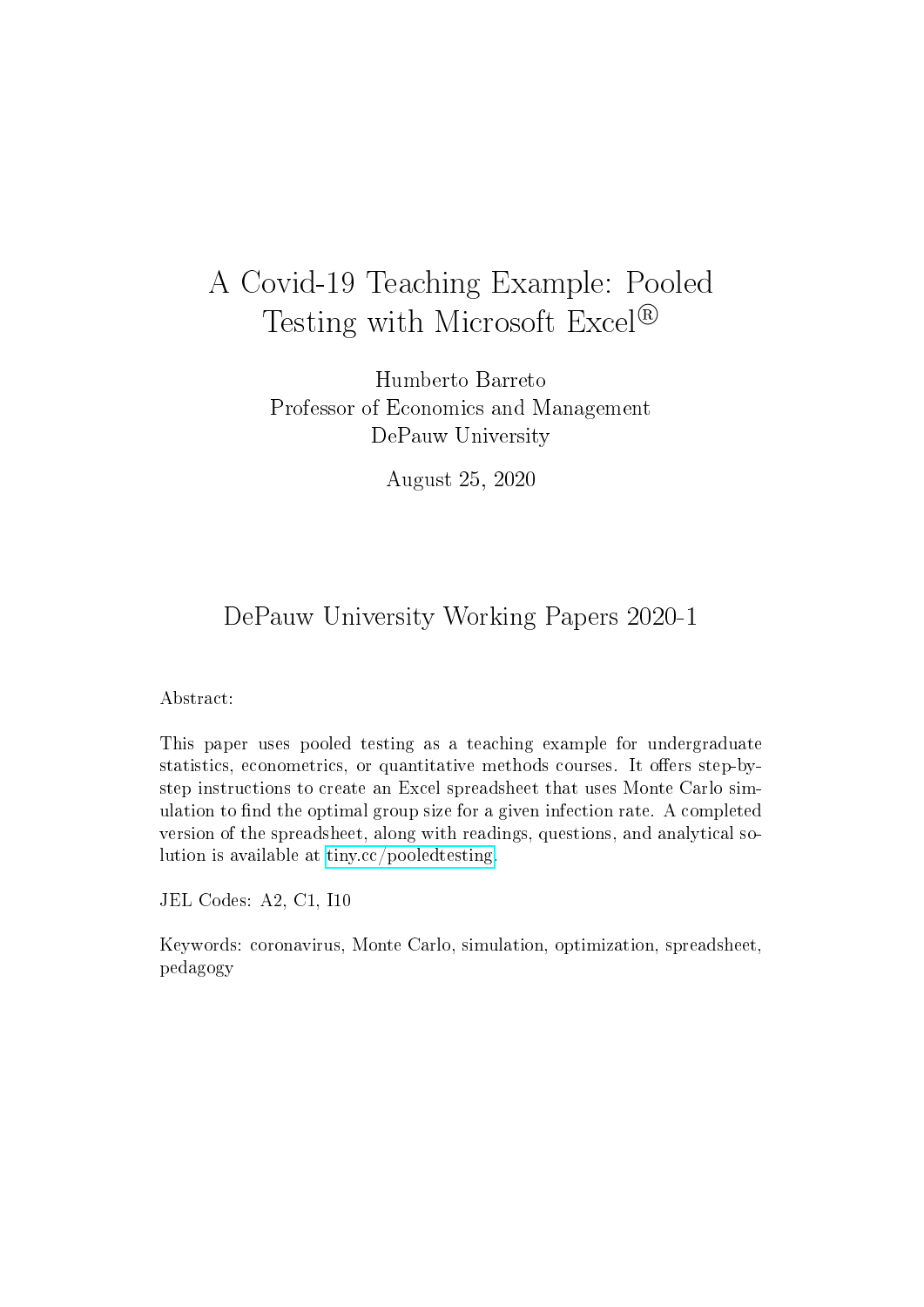# A Covid-19 Teaching Example: Pooled Testing with Microsoft Excel<sup>®</sup>

Humberto Barreto Professor of Economics and Management DePauw University

August 25, 2020

## DePauw University Working Papers 2020-1

#### Abstract:

This paper uses pooled testing as a teaching example for undergraduate statistics, econometrics, or quantitative methods courses. It offers step-bystep instructions to create an Excel spreadsheet that uses Monte Carlo simulation to find the optimal group size for a given infection rate. A completed version of the spreadsheet, along with readings, questions, and analytical solution is available at [tiny.cc/pooledtesting.](http://tiny.cc/pooledtesting)

JEL Codes: A2, C1, I10

Keywords: coronavirus, Monte Carlo, simulation, optimization, spreadsheet, pedagogy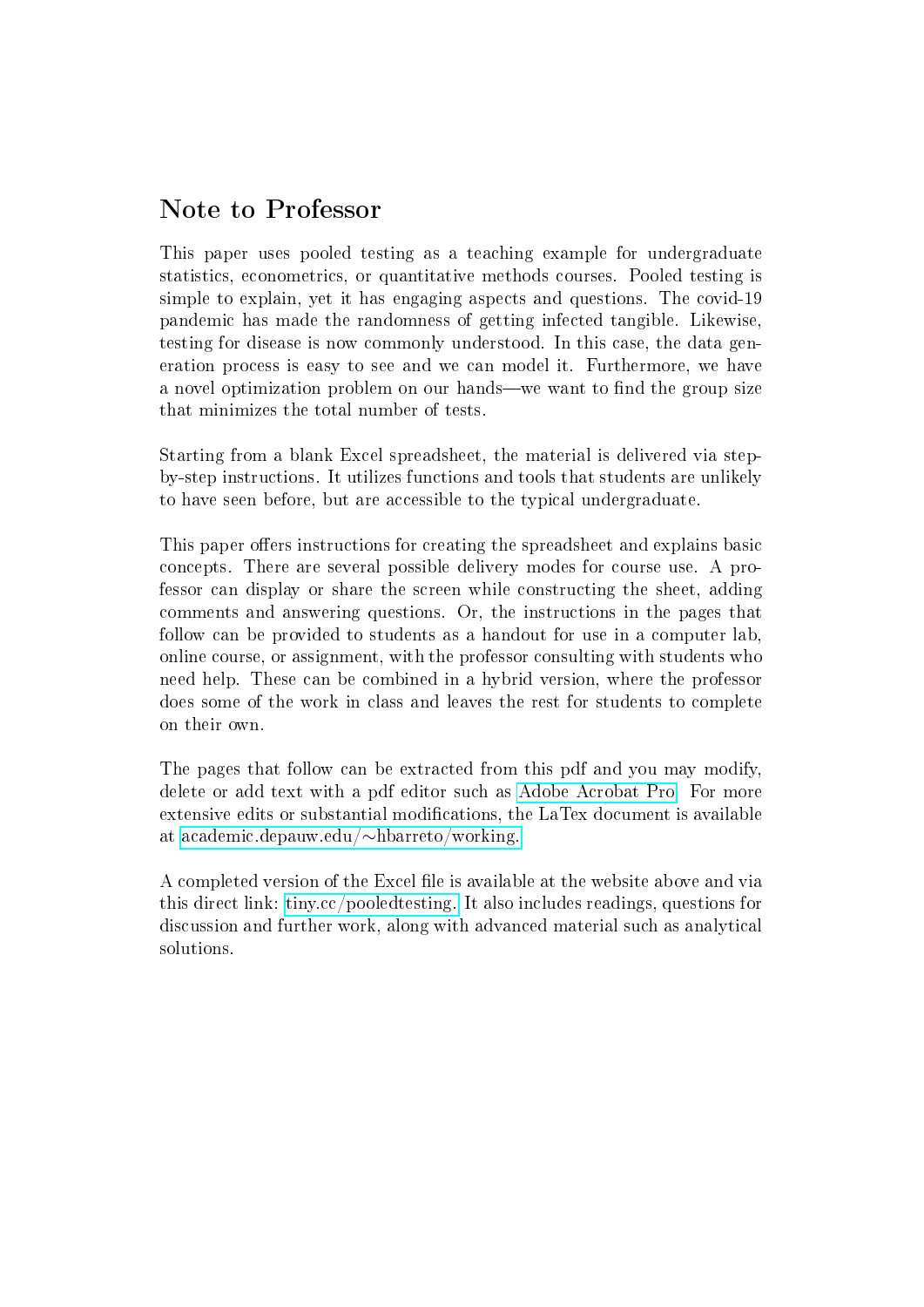## Note to Professor

This paper uses pooled testing as a teaching example for undergraduate statistics, econometrics, or quantitative methods courses. Pooled testing is simple to explain, yet it has engaging aspects and questions. The covid-19 pandemic has made the randomness of getting infected tangible. Likewise, testing for disease is now commonly understood. In this case, the data generation process is easy to see and we can model it. Furthermore, we have a novel optimization problem on our hands—we want to find the group size that minimizes the total number of tests.

Starting from a blank Excel spreadsheet, the material is delivered via stepby-step instructions. It utilizes functions and tools that students are unlikely to have seen before, but are accessible to the typical undergraduate.

This paper offers instructions for creating the spreadsheet and explains basic concepts. There are several possible delivery modes for course use. A professor can display or share the screen while constructing the sheet, adding comments and answering questions. Or, the instructions in the pages that follow can be provided to students as a handout for use in a computer lab, online course, or assignment, with the professor consulting with students who need help. These can be combined in a hybrid version, where the professor does some of the work in class and leaves the rest for students to complete on their own.

The pages that follow can be extracted from this pdf and you may modify, delete or add text with a pdf editor such as [Adobe Acrobat Pro.](https://acrobat.adobe.com/) For more extensive edits or substantial modifications, the LaTex document is available at [academic.depauw.edu/](http://academic.depauw.edu/~hbarreto/working)∼hbarreto/working.

A completed version of the Excel file is available at the website above and via this direct link: [tiny.cc/pooledtesting.](http://tiny.cc/pooledtesting) It also includes readings, questions for discussion and further work, along with advanced material such as analytical solutions.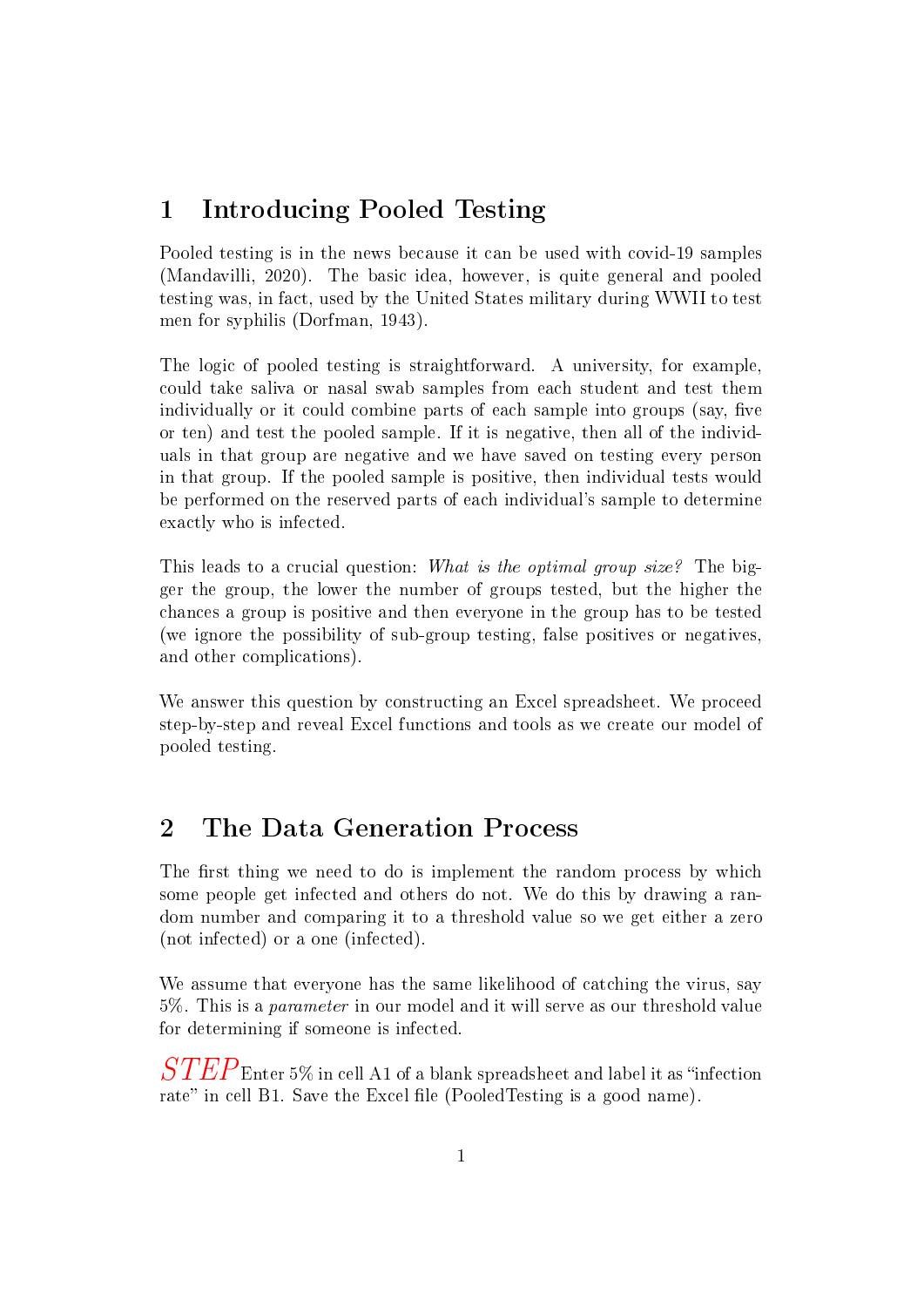## 1 Introducing Pooled Testing

Pooled testing is in the news because it can be used with covid-19 samples (Mandavilli, 2020). The basic idea, however, is quite general and pooled testing was, in fact, used by the United States military during WWII to test men for syphilis (Dorfman, 1943).

The logic of pooled testing is straightforward. A university, for example, could take saliva or nasal swab samples from each student and test them individually or it could combine parts of each sample into groups (say, five or ten) and test the pooled sample. If it is negative, then all of the individuals in that group are negative and we have saved on testing every person in that group. If the pooled sample is positive, then individual tests would be performed on the reserved parts of each individual's sample to determine exactly who is infected.

This leads to a crucial question: What is the optimal group size? The bigger the group, the lower the number of groups tested, but the higher the chances a group is positive and then everyone in the group has to be tested (we ignore the possibility of sub-group testing, false positives or negatives, and other complications).

We answer this question by constructing an Excel spreadsheet. We proceed step-by-step and reveal Excel functions and tools as we create our model of pooled testing.

## 2 The Data Generation Process

The first thing we need to do is implement the random process by which some people get infected and others do not. We do this by drawing a random number and comparing it to a threshold value so we get either a zero (not infected) or a one (infected).

We assume that everyone has the same likelihood of catching the virus, say 5%. This is a parameter in our model and it will serve as our threshold value for determining if someone is infected.

 $\it STEP_{\rm Enter}$  5% in cell A1 of a blank spreadsheet and label it as "infection rate" in cell B1. Save the Excel file (PooledTesting is a good name).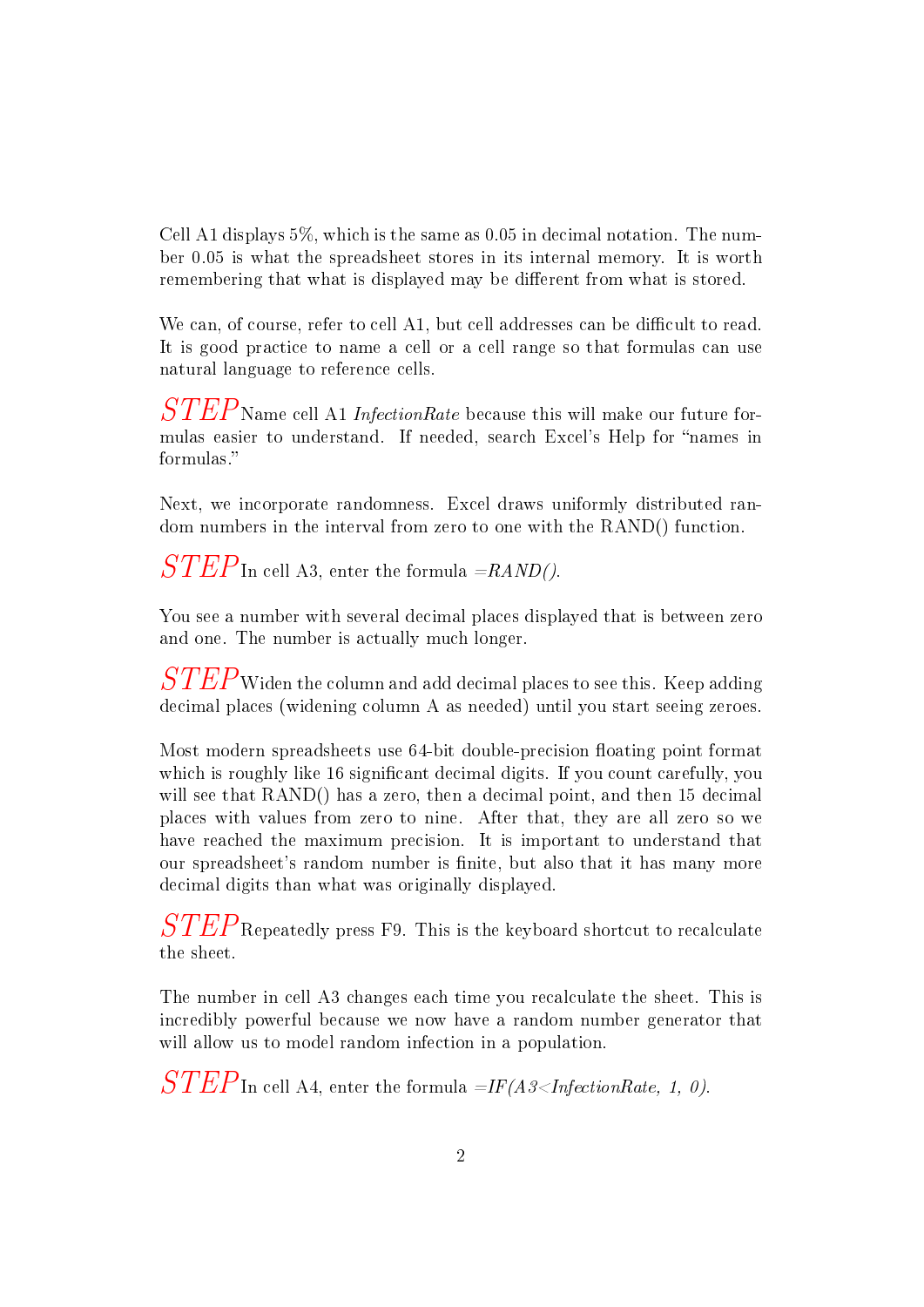Cell A1 displays 5%, which is the same as 0.05 in decimal notation. The number 0.05 is what the spreadsheet stores in its internal memory. It is worth remembering that what is displayed may be different from what is stored.

We can, of course, refer to cell A1, but cell addresses can be difficult to read. It is good practice to name a cell or a cell range so that formulas can use natural language to reference cells.

 $STEP$ Name cell A1 InfectionRate because this will make our future formulas easier to understand. If needed, search Excel's Help for "names in formulas.

Next, we incorporate randomness. Excel draws uniformly distributed random numbers in the interval from zero to one with the RAND() function.

 $STEP$ In cell A3, enter the formula  $=$ RAND().

You see a number with several decimal places displayed that is between zero and one. The number is actually much longer.

 $\it STEP$  Widen the column and add decimal places to see this. Keep adding decimal places (widening column A as needed) until you start seeing zeroes.

Most modern spreadsheets use 64-bit double-precision floating point format which is roughly like 16 significant decimal digits. If you count carefully, you will see that RAND() has a zero, then a decimal point, and then 15 decimal places with values from zero to nine. After that, they are all zero so we have reached the maximum precision. It is important to understand that our spreadsheet's random number is finite, but also that it has many more decimal digits than what was originally displayed.

 $STEP$ Repeatedly press F9. This is the keyboard shortcut to recalculate the sheet.

The number in cell A3 changes each time you recalculate the sheet. This is incredibly powerful because we now have a random number generator that will allow us to model random infection in a population.

 $STEP$ In cell A4, enter the formula  $=IF(A3.$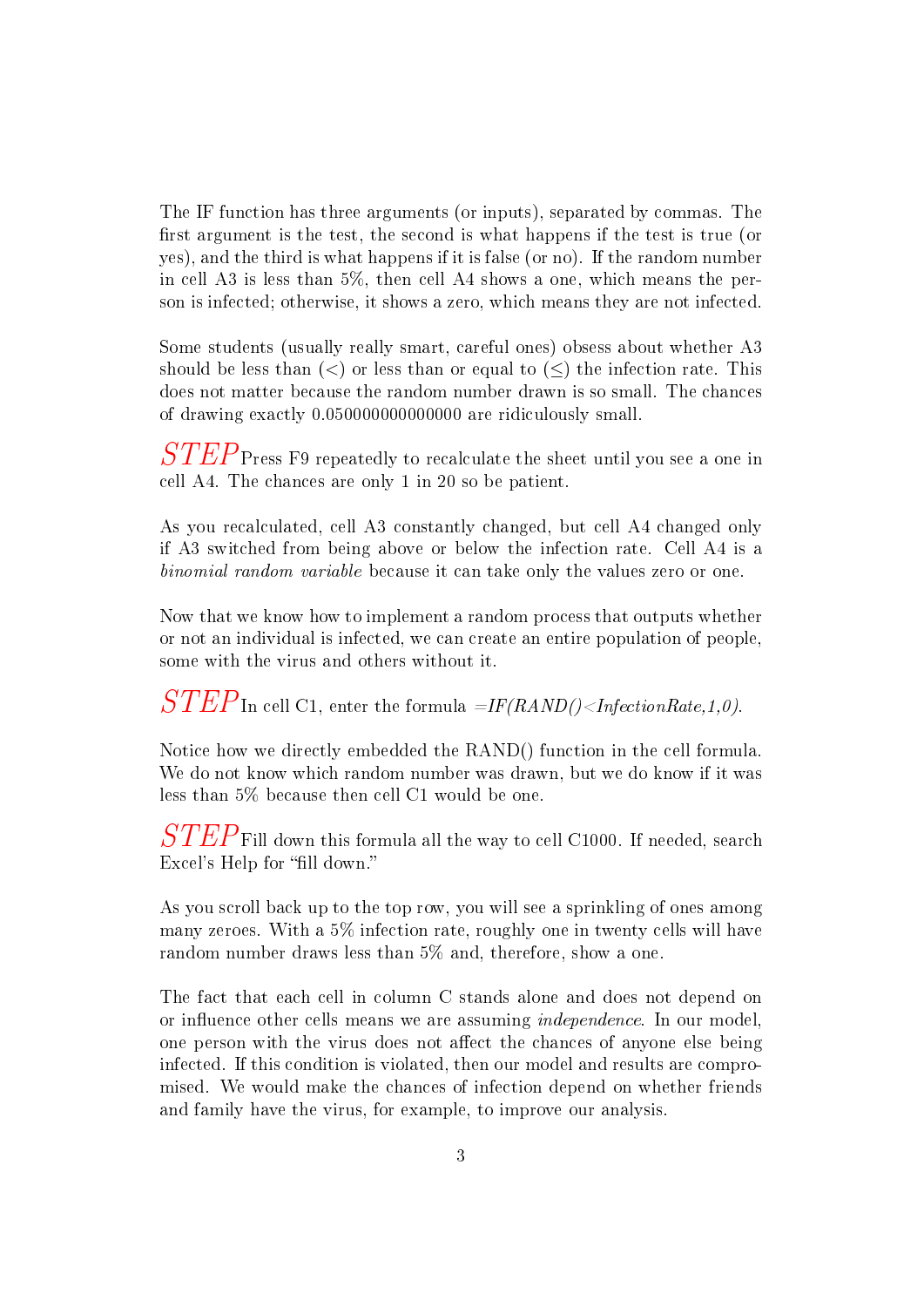The IF function has three arguments (or inputs), separated by commas. The first argument is the test, the second is what happens if the test is true (or yes), and the third is what happens if it is false (or no). If the random number in cell A3 is less than 5%, then cell A4 shows a one, which means the person is infected; otherwise, it shows a zero, which means they are not infected.

Some students (usually really smart, careful ones) obsess about whether A3 should be less than  $(<)$  or less than or equal to  $(<)$  the infection rate. This does not matter because the random number drawn is so small. The chances of drawing exactly 0.050000000000000 are ridiculously small.

 $STEP$ Press F9 repeatedly to recalculate the sheet until you see a one in cell A4. The chances are only 1 in 20 so be patient.

As you recalculated, cell A3 constantly changed, but cell A4 changed only if A3 switched from being above or below the infection rate. Cell A4 is a binomial random variable because it can take only the values zero or one.

Now that we know how to implement a random process that outputs whether or not an individual is infected, we can create an entire population of people, some with the virus and others without it.

 $\overline{STEP}$ In cell C1, enter the formula  $\overline{=}$ IF(RAND()<InfectionRate,1,0).

Notice how we directly embedded the RAND() function in the cell formula. We do not know which random number was drawn, but we do know if it was less than 5% because then cell C1 would be one.

 $\it STEP$  Fill down this formula all the way to cell C1000. If needed, search Excel's Help for "fill down."

As you scroll back up to the top row, you will see a sprinkling of ones among many zeroes. With a 5% infection rate, roughly one in twenty cells will have random number draws less than 5% and, therefore, show a one.

The fact that each cell in column C stands alone and does not depend on or influence other cells means we are assuming *independence*. In our model, one person with the virus does not affect the chances of anyone else being infected. If this condition is violated, then our model and results are compromised. We would make the chances of infection depend on whether friends and family have the virus, for example, to improve our analysis.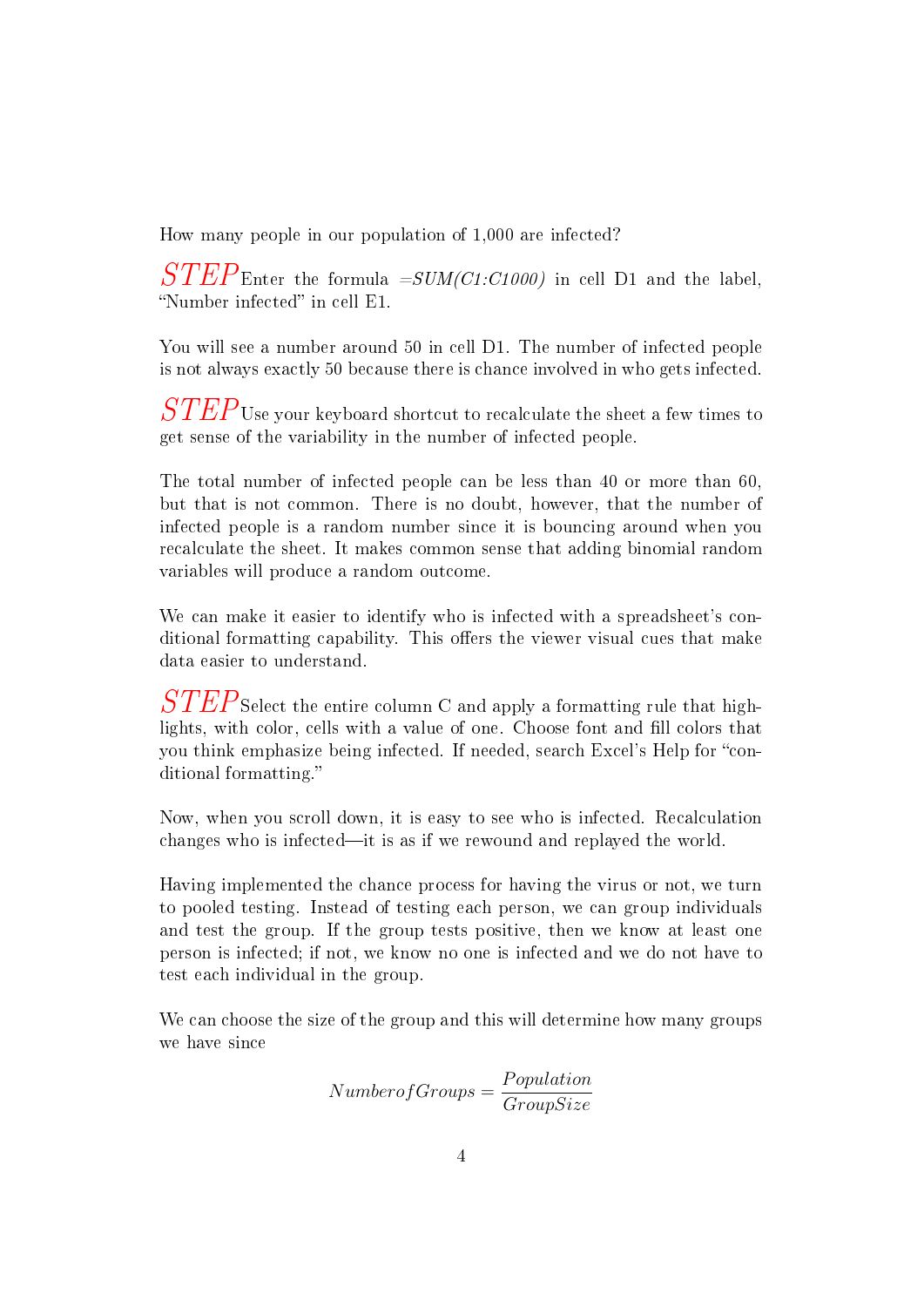How many people in our population of 1,000 are infected?

 $STEP$ Enter the formula =SUM(C1:C1000) in cell D1 and the label, "Number infected" in cell E1.

You will see a number around 50 in cell D1. The number of infected people is not always exactly 50 because there is chance involved in who gets infected.

 $\it STEP$ Use your keyboard shortcut to recalculate the sheet a few times to get sense of the variability in the number of infected people.

The total number of infected people can be less than 40 or more than 60, but that is not common. There is no doubt, however, that the number of infected people is a random number since it is bouncing around when you recalculate the sheet. It makes common sense that adding binomial random variables will produce a random outcome.

We can make it easier to identify who is infected with a spreadsheet's conditional formatting capability. This offers the viewer visual cues that make data easier to understand.

 $STEP$ Select the entire column C and apply a formatting rule that highlights, with color, cells with a value of one. Choose font and fill colors that you think emphasize being infected. If needed, search Excel's Help for "conditional formatting.

Now, when you scroll down, it is easy to see who is infected. Recalculation changes who is infected—it is as if we rewound and replayed the world.

Having implemented the chance process for having the virus or not, we turn to pooled testing. Instead of testing each person, we can group individuals and test the group. If the group tests positive, then we know at least one person is infected; if not, we know no one is infected and we do not have to test each individual in the group.

We can choose the size of the group and this will determine how many groups we have since

$$
Number of Groups = \frac{Population}{GroupSize}
$$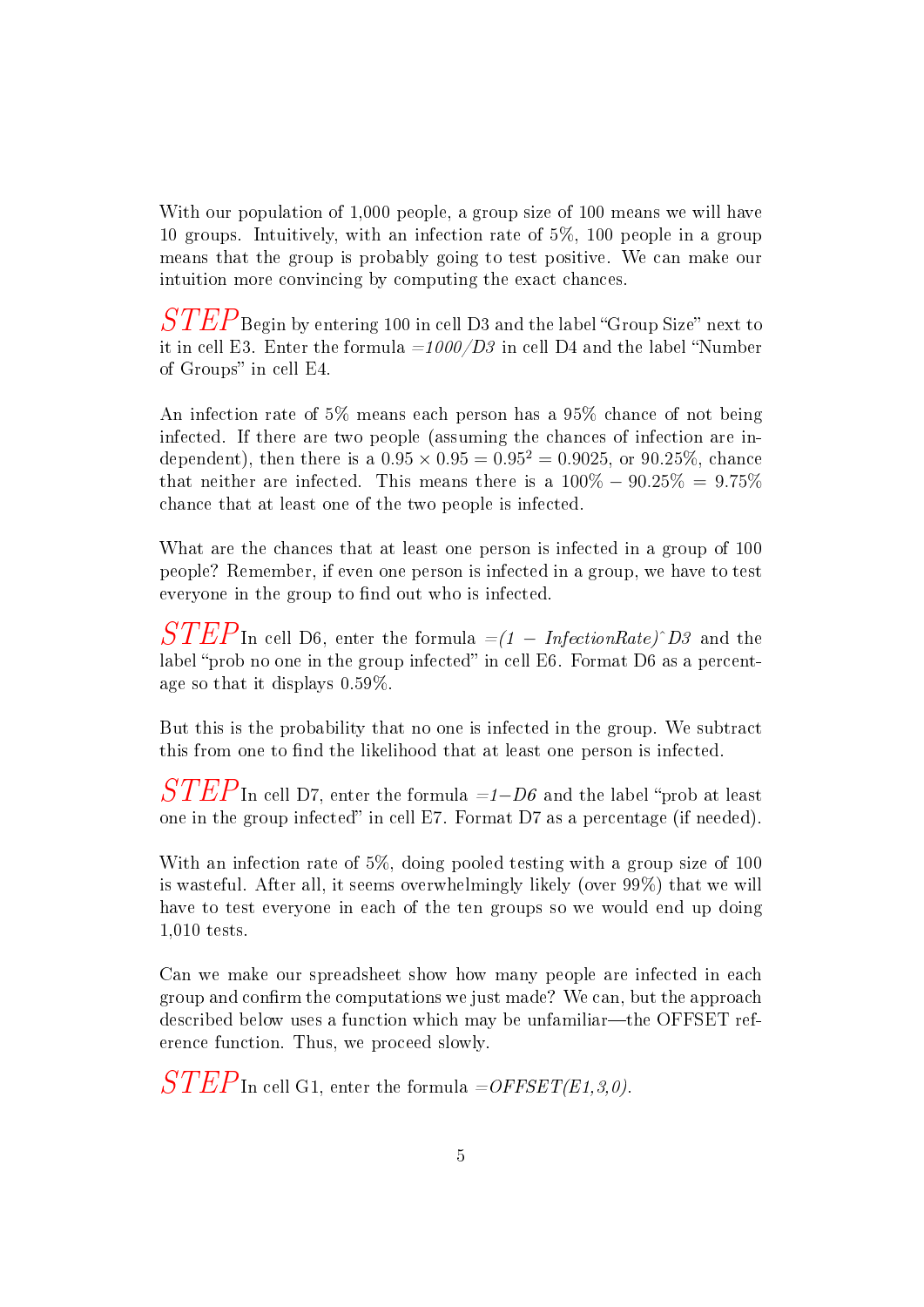With our population of 1,000 people, a group size of 100 means we will have 10 groups. Intuitively, with an infection rate of 5%, 100 people in a group means that the group is probably going to test positive. We can make our intuition more convincing by computing the exact chances.

 $\it STEP_{\rm Begin}$  by entering 100 in cell D3 and the label "Group Size" next to it in cell E3. Enter the formula  $=1000/D3$  in cell D4 and the label "Number of Groups" in cell E4.

An infection rate of 5% means each person has a 95% chance of not being infected. If there are two people (assuming the chances of infection are independent), then there is a  $0.95 \times 0.95 = 0.95^2 = 0.9025$ , or 90.25%, chance that neither are infected. This means there is a  $100\% - 90.25\% = 9.75\%$ chance that at least one of the two people is infected.

What are the chances that at least one person is infected in a group of 100 people? Remember, if even one person is infected in a group, we have to test everyone in the group to find out who is infected.

 $STEP$ In cell D6, enter the formula  $=(1 - InfectionRate)^2D3$  and the label "prob no one in the group infected" in cell E6. Format D6 as a percentage so that it displays 0.59%.

But this is the probability that no one is infected in the group. We subtract this from one to find the likelihood that at least one person is infected.

 $\it STEP$ In cell D7, enter the formula =1−D6 and the label "prob at least one in the group infected" in cell E7. Format D7 as a percentage (if needed).

With an infection rate of 5%, doing pooled testing with a group size of 100 is wasteful. After all, it seems overwhelmingly likely (over 99%) that we will have to test everyone in each of the ten groups so we would end up doing 1,010 tests.

Can we make our spreadsheet show how many people are infected in each group and confirm the computations we just made? We can, but the approach described below uses a function which may be unfamiliar—the OFFSET reference function. Thus, we proceed slowly.

 $STEP$ In cell G1, enter the formula =OFFSET(E1,3,0).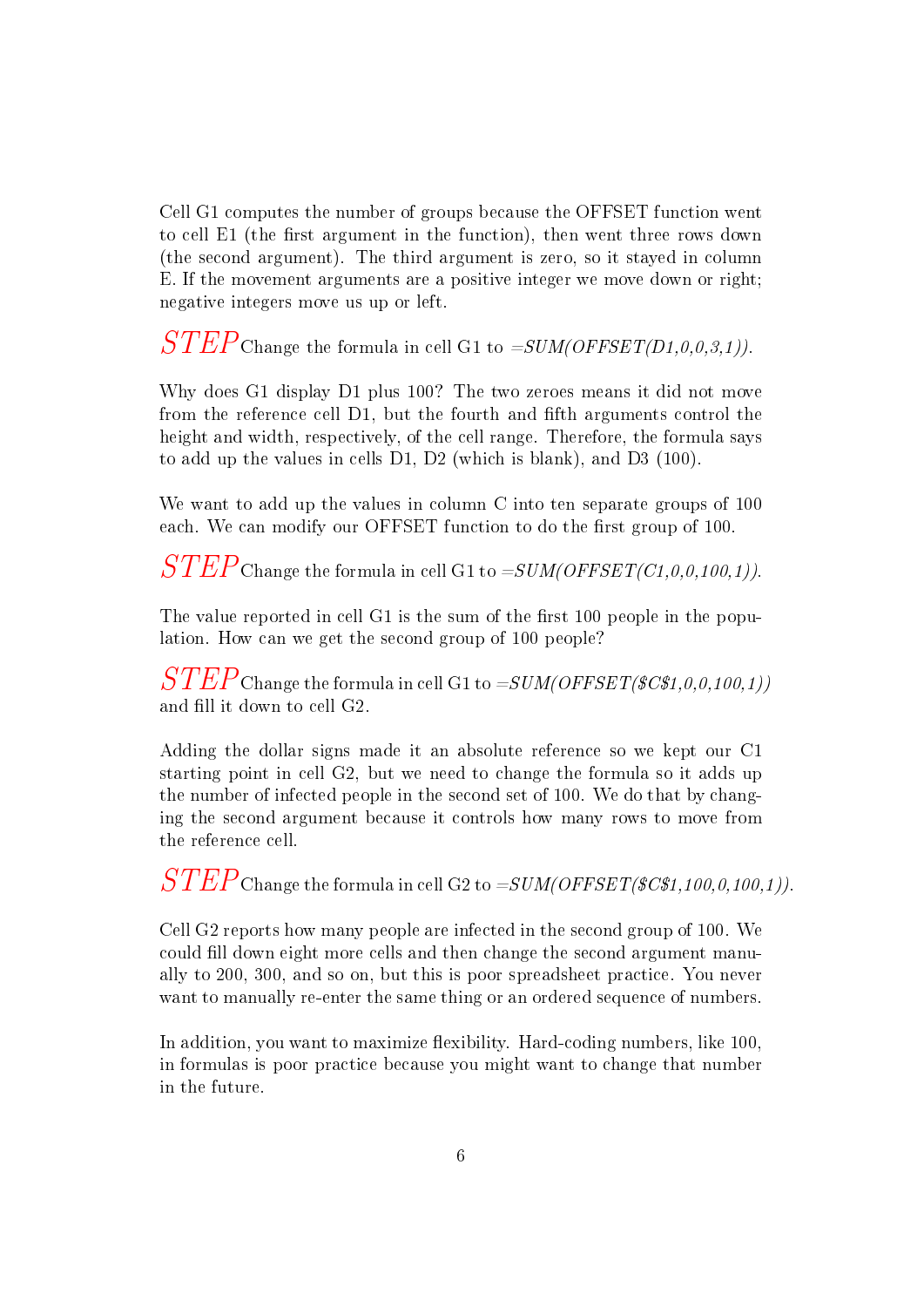Cell G1 computes the number of groups because the OFFSET function went to cell  $E1$  (the first argument in the function), then went three rows down (the second argument). The third argument is zero, so it stayed in column E. If the movement arguments are a positive integer we move down or right; negative integers move us up or left.

 $STEP$ Change the formula in cell G1 to  $= SUM(OFFSET(D1, 0, 0, 3, 1)).$ 

Why does G1 display D1 plus 100? The two zeroes means it did not move from the reference cell D1, but the fourth and fifth arguments control the height and width, respectively, of the cell range. Therefore, the formula says to add up the values in cells D1, D2 (which is blank), and D3 (100).

We want to add up the values in column C into ten separate groups of 100 each. We can modify our OFFSET function to do the first group of 100.

 $STEP$ Change the formula in cell G1 to  $= SUM(OFFSET(C1,0,0,100,1)).$ 

The value reported in cell  $G1$  is the sum of the first 100 people in the population. How can we get the second group of 100 people?

 $STEP$ Change the formula in cell G1 to  $= SUM(OFFSET/SC$1, 0, 0, 100, 1))$ and fill it down to cell G2.

Adding the dollar signs made it an absolute reference so we kept our C1 starting point in cell G2, but we need to change the formula so it adds up the number of infected people in the second set of 100. We do that by changing the second argument because it controls how many rows to move from the reference cell.

 $STEP$ Change the formula in cell G2 to  $= SUM(OFFSET(\text{SC$1}, 100, 0, 100, 1))$ .

Cell G2 reports how many people are infected in the second group of 100. We could fill down eight more cells and then change the second argument manually to 200, 300, and so on, but this is poor spreadsheet practice. You never want to manually re-enter the same thing or an ordered sequence of numbers.

In addition, you want to maximize flexibility. Hard-coding numbers, like 100, in formulas is poor practice because you might want to change that number in the future.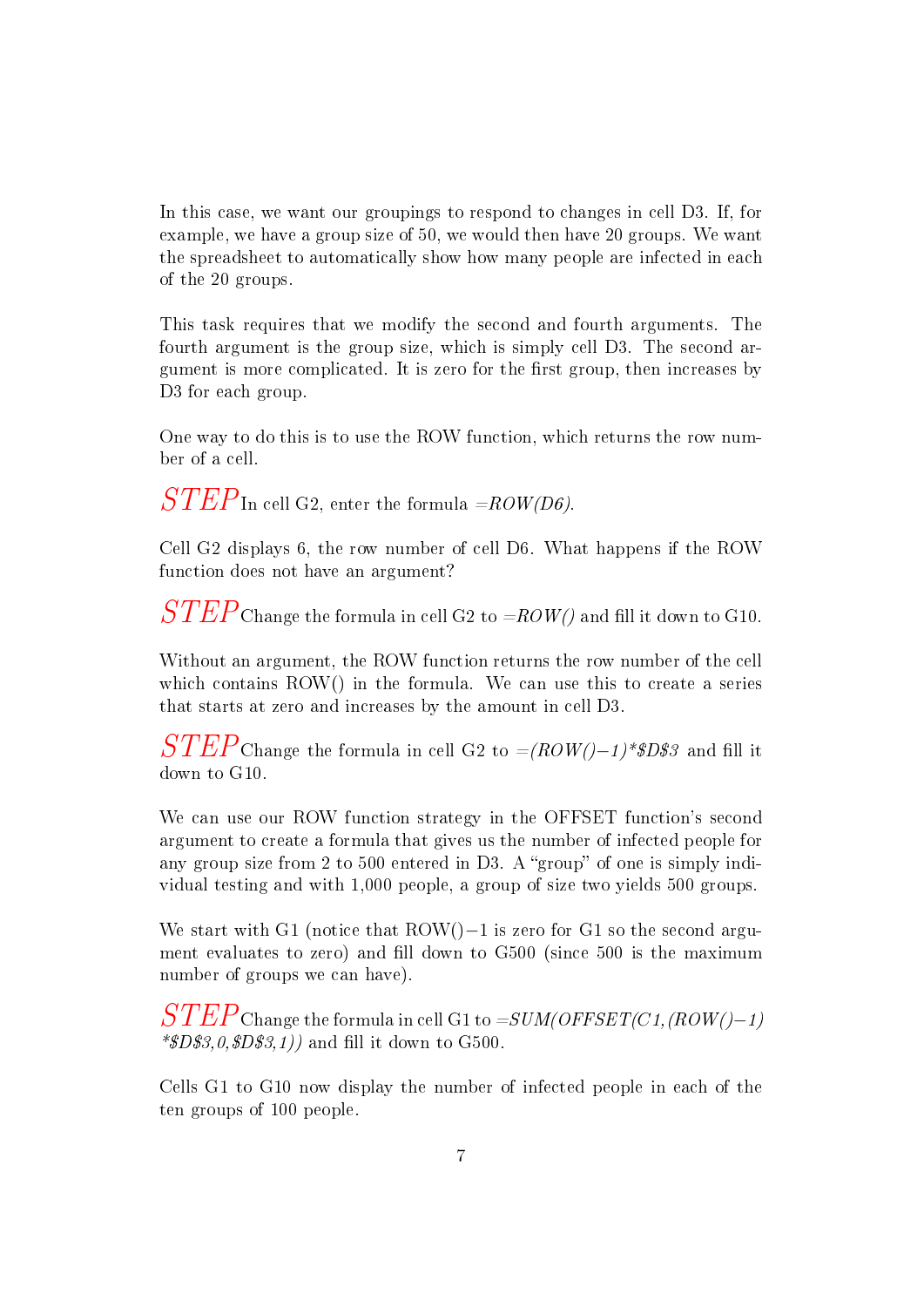In this case, we want our groupings to respond to changes in cell D3. If, for example, we have a group size of 50, we would then have 20 groups. We want the spreadsheet to automatically show how many people are infected in each of the 20 groups.

This task requires that we modify the second and fourth arguments. The fourth argument is the group size, which is simply cell D3. The second argument is more complicated. It is zero for the first group, then increases by D<sub>3</sub> for each group.

One way to do this is to use the ROW function, which returns the row number of a cell.

 $STEP$ In cell G2, enter the formula =ROW(D6).

Cell G2 displays 6, the row number of cell D6. What happens if the ROW function does not have an argument?

 $\it STEP$ Change the formula in cell G2 to =ROW() and fill it down to G10.

Without an argument, the ROW function returns the row number of the cell which contains ROW() in the formula. We can use this to create a series that starts at zero and increases by the amount in cell D3.

 $STEP$ Change the formula in cell G2 to =(ROW()−1)\*\$D\$3 and fill it down to G10.

We can use our ROW function strategy in the OFFSET function's second argument to create a formula that gives us the number of infected people for any group size from 2 to 500 entered in D3. A "group" of one is simply individual testing and with 1,000 people, a group of size two yields 500 groups.

We start with G1 (notice that ROW()−1 is zero for G1 so the second argument evaluates to zero) and fill down to G500 (since 500 is the maximum number of groups we can have).

 $STEP$ Change the formula in cell G1 to  $= SUM(OFFSET(C1,(ROW(-1))$  $*SD$3,0, $D$3,1)$  and fill it down to G500.

Cells G1 to G10 now display the number of infected people in each of the ten groups of 100 people.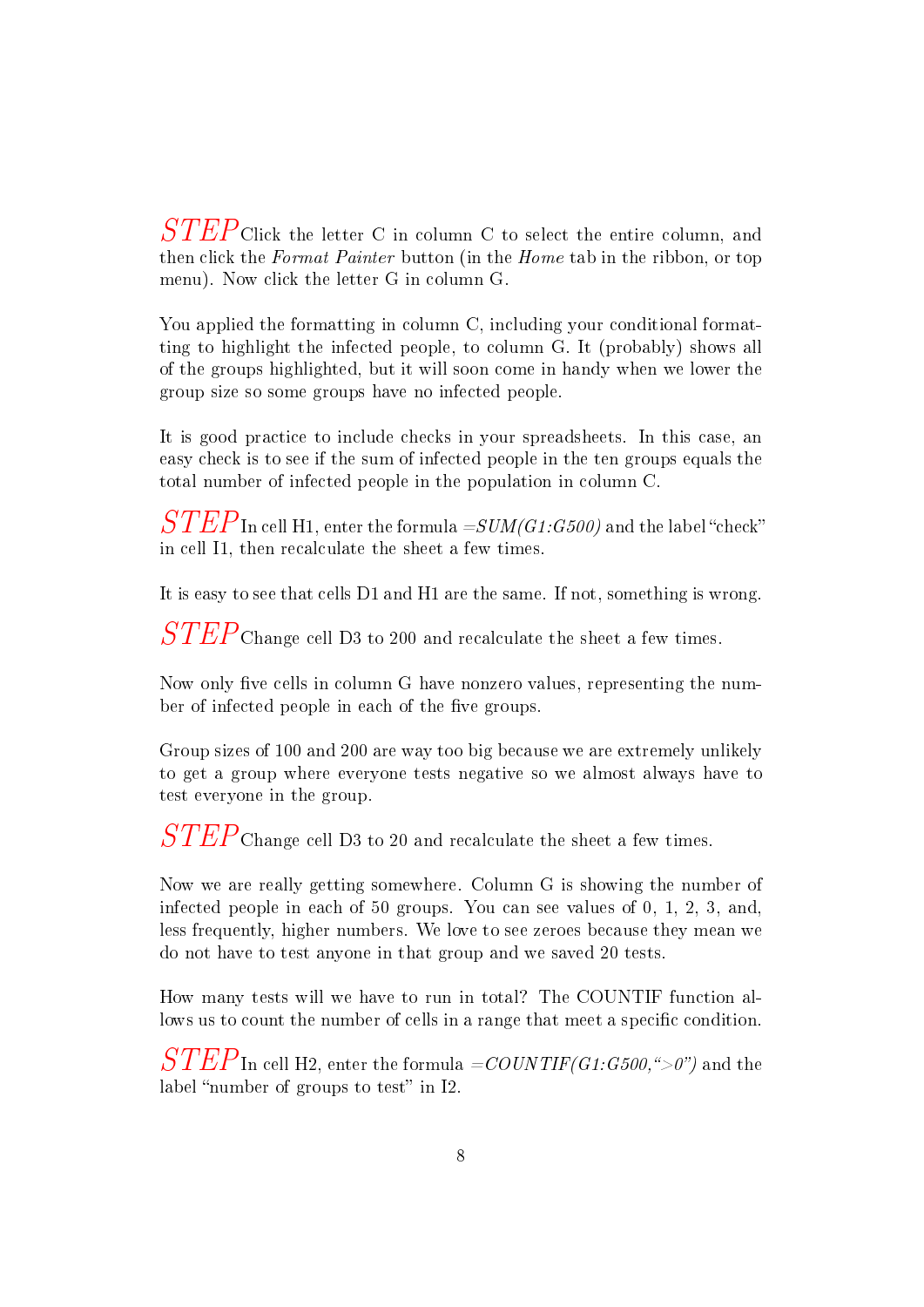$STEP$ Click the letter C in column C to select the entire column, and then click the Format Painter button (in the Home tab in the ribbon, or top menu). Now click the letter G in column G.

You applied the formatting in column C, including your conditional formatting to highlight the infected people, to column G. It (probably) shows all of the groups highlighted, but it will soon come in handy when we lower the group size so some groups have no infected people.

It is good practice to include checks in your spreadsheets. In this case, an easy check is to see if the sum of infected people in the ten groups equals the total number of infected people in the population in column C.

 $\overline{STEP}$ In cell H1, enter the formula  $= SUM(G1:G500)$  and the label "check" in cell I1, then recalculate the sheet a few times.

It is easy to see that cells D1 and H1 are the same. If not, something is wrong.

 $STEP$ Change cell D3 to 200 and recalculate the sheet a few times.

Now only five cells in column G have nonzero values, representing the number of infected people in each of the five groups.

Group sizes of 100 and 200 are way too big because we are extremely unlikely to get a group where everyone tests negative so we almost always have to test everyone in the group.

 $STEP$ Change cell D3 to 20 and recalculate the sheet a few times.

Now we are really getting somewhere. Column G is showing the number of infected people in each of 50 groups. You can see values of 0, 1, 2, 3, and, less frequently, higher numbers. We love to see zeroes because they mean we do not have to test anyone in that group and we saved 20 tests.

How many tests will we have to run in total? The COUNTIF function allows us to count the number of cells in a range that meet a specific condition.

 $STEP$ In cell H2, enter the formula  $=$  COUNTIF(G1:G500,">0") and the label "number of groups to test" in I2.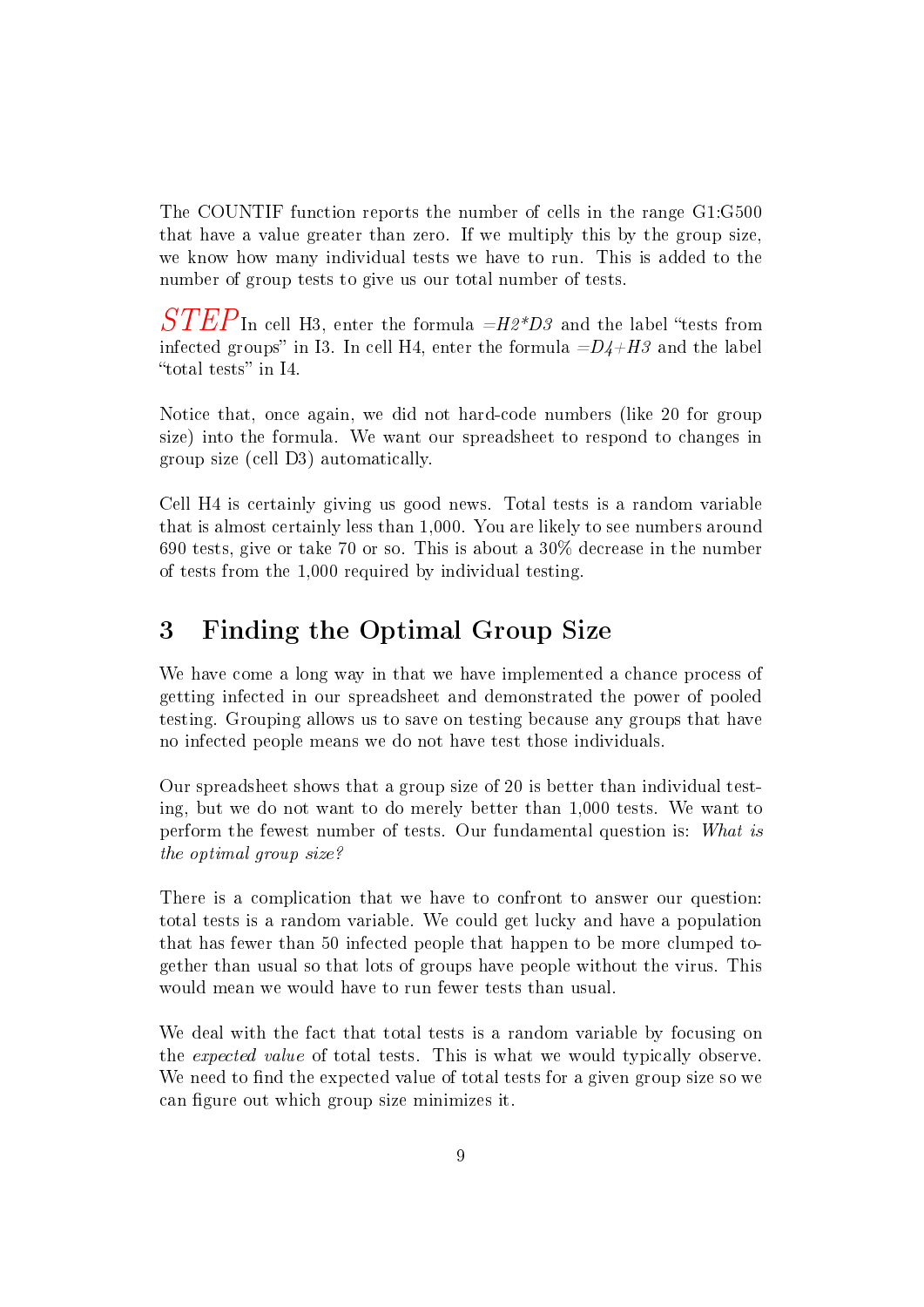The COUNTIF function reports the number of cells in the range G1:G500 that have a value greater than zero. If we multiply this by the group size, we know how many individual tests we have to run. This is added to the number of group tests to give us our total number of tests.

 $\it STEP$ In cell H3, enter the formula  $\it =$ H2\*D3 and the label "tests from infected groups" in I3. In cell H4, enter the formula  $=D4+H3$  and the label "total tests" in  $I4$ .

Notice that, once again, we did not hard-code numbers (like 20 for group size) into the formula. We want our spreadsheet to respond to changes in group size (cell D3) automatically.

Cell H4 is certainly giving us good news. Total tests is a random variable that is almost certainly less than 1,000. You are likely to see numbers around 690 tests, give or take 70 or so. This is about a 30% decrease in the number of tests from the 1,000 required by individual testing.

## 3 Finding the Optimal Group Size

We have come a long way in that we have implemented a chance process of getting infected in our spreadsheet and demonstrated the power of pooled testing. Grouping allows us to save on testing because any groups that have no infected people means we do not have test those individuals.

Our spreadsheet shows that a group size of 20 is better than individual testing, but we do not want to do merely better than 1,000 tests. We want to perform the fewest number of tests. Our fundamental question is: What is the optimal group size?

There is a complication that we have to confront to answer our question: total tests is a random variable. We could get lucky and have a population that has fewer than 50 infected people that happen to be more clumped together than usual so that lots of groups have people without the virus. This would mean we would have to run fewer tests than usual.

We deal with the fact that total tests is a random variable by focusing on the expected value of total tests. This is what we would typically observe. We need to find the expected value of total tests for a given group size so we can figure out which group size minimizes it.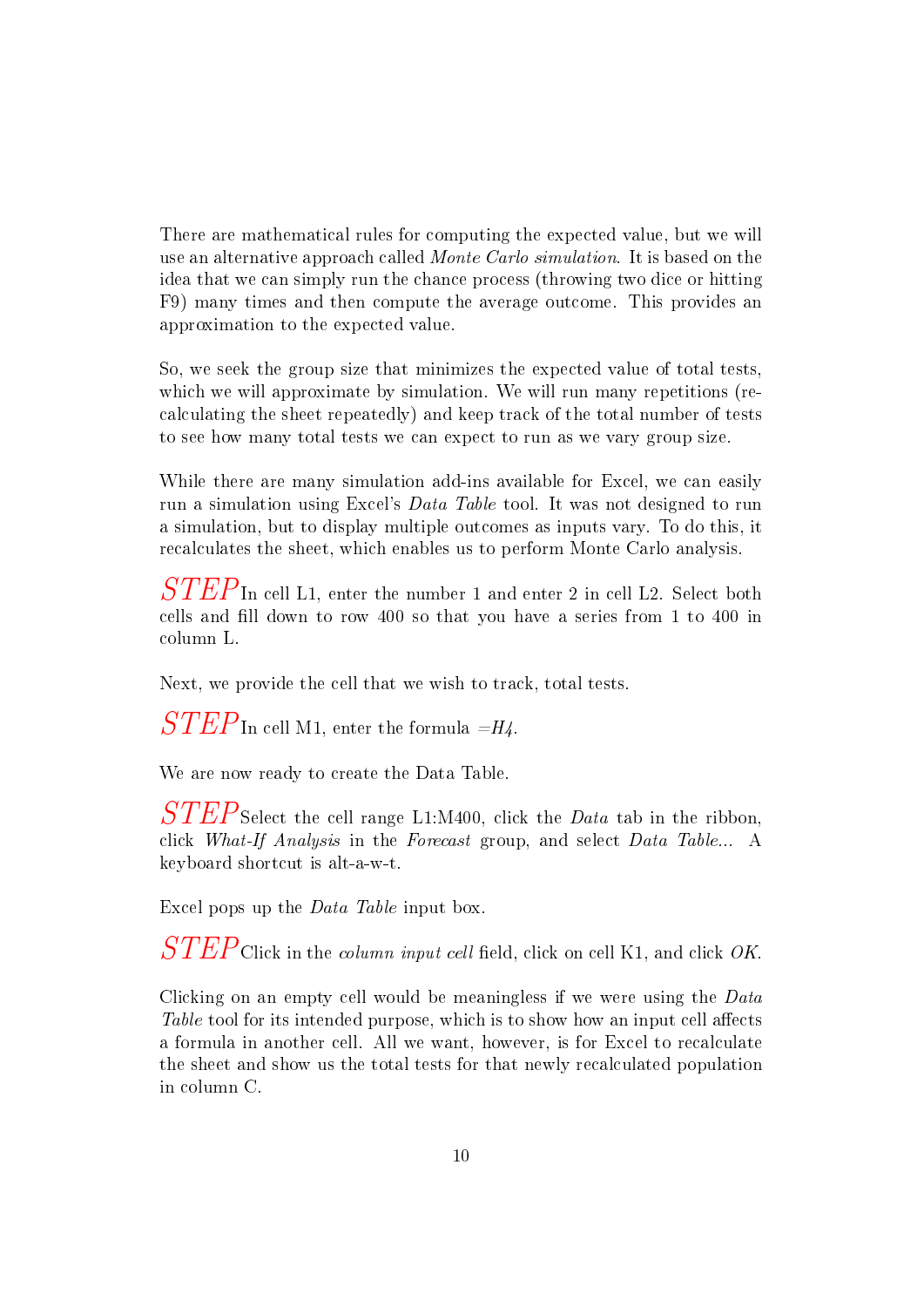There are mathematical rules for computing the expected value, but we will use an alternative approach called Monte Carlo simulation. It is based on the idea that we can simply run the chance process (throwing two dice or hitting F9) many times and then compute the average outcome. This provides an approximation to the expected value.

So, we seek the group size that minimizes the expected value of total tests, which we will approximate by simulation. We will run many repetitions (recalculating the sheet repeatedly) and keep track of the total number of tests to see how many total tests we can expect to run as we vary group size.

While there are many simulation add-ins available for Excel, we can easily run a simulation using Excel's Data Table tool. It was not designed to run a simulation, but to display multiple outcomes as inputs vary. To do this, it recalculates the sheet, which enables us to perform Monte Carlo analysis.

 $STEP$ In cell L1, enter the number 1 and enter 2 in cell L2. Select both cells and fill down to row 400 so that you have a series from 1 to 400 in column L.

Next, we provide the cell that we wish to track, total tests.

 $STEP$ In cell M1, enter the formula =H4.

We are now ready to create the Data Table.

 $STEP$ Select the cell range L1:M400, click the *Data* tab in the ribbon. click What-If Analysis in the Forecast group, and select Data Table... A keyboard shortcut is alt-a-w-t.

Excel pops up the Data Table input box.

 $\it STEP$ Click in the *column input cell* field, click on cell K1, and click OK.

Clicking on an empty cell would be meaningless if we were using the Data Table tool for its intended purpose, which is to show how an input cell affects a formula in another cell. All we want, however, is for Excel to recalculate the sheet and show us the total tests for that newly recalculated population in column C.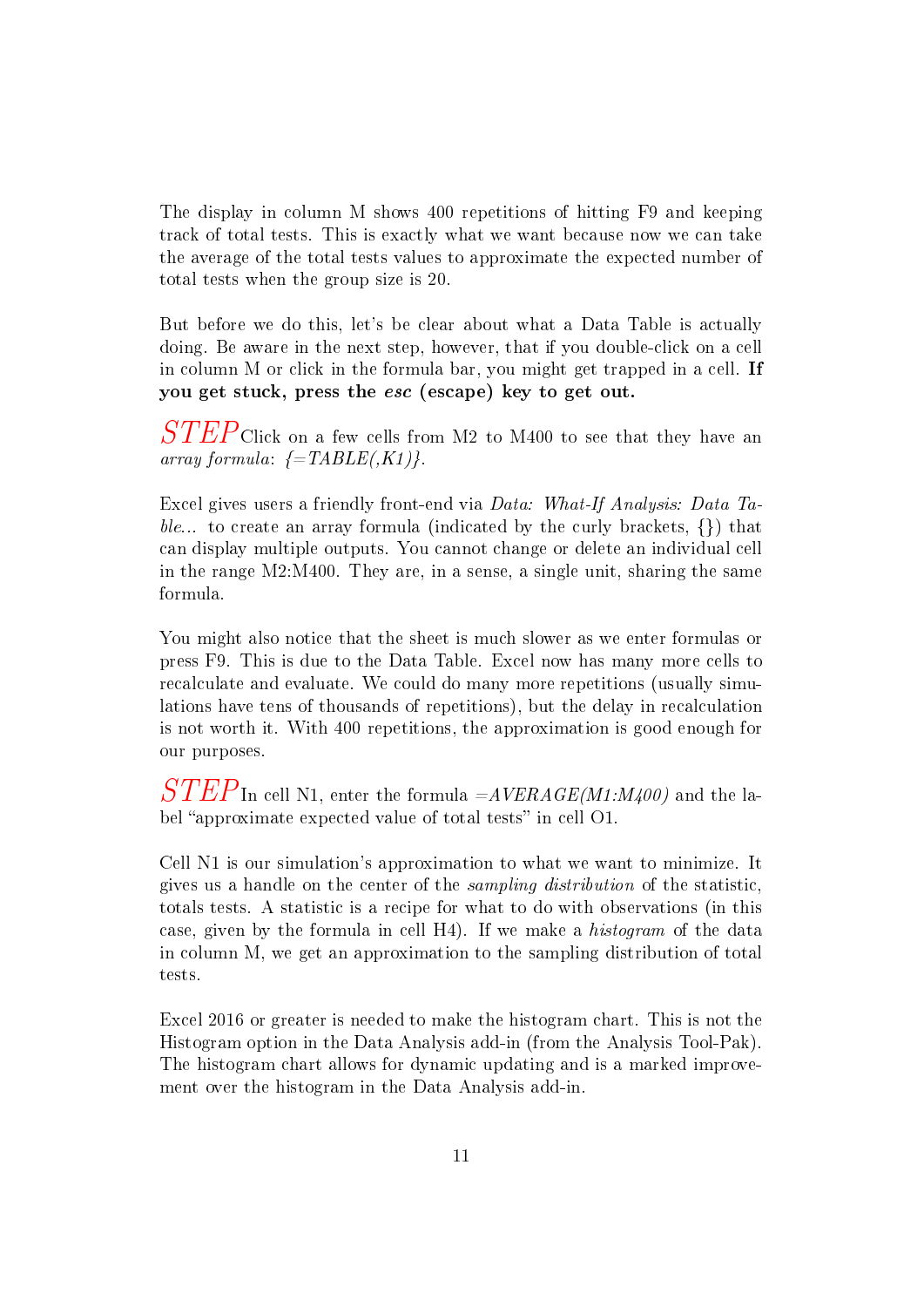The display in column M shows 400 repetitions of hitting F9 and keeping track of total tests. This is exactly what we want because now we can take the average of the total tests values to approximate the expected number of total tests when the group size is 20.

But before we do this, let's be clear about what a Data Table is actually doing. Be aware in the next step, however, that if you double-click on a cell in column M or click in the formula bar, you might get trapped in a cell. If you get stuck, press the esc (escape) key to get out.

 $STEP$ Click on a few cells from M2 to M400 to see that they have an array formula:  $\{-TABLE(K1)\}.$ 

Excel gives users a friendly front-end via Data: What-If Analysis: Data Table... to create an array formula (indicated by the curly brackets,  $\{\}\$ ) that can display multiple outputs. You cannot change or delete an individual cell in the range M2:M400. They are, in a sense, a single unit, sharing the same formula.

You might also notice that the sheet is much slower as we enter formulas or press F9. This is due to the Data Table. Excel now has many more cells to recalculate and evaluate. We could do many more repetitions (usually simulations have tens of thousands of repetitions), but the delay in recalculation is not worth it. With 400 repetitions, the approximation is good enough for our purposes.

 $\it STEP$ In cell N1, enter the formula  $\it = AVERAGE(M1:M400)$  and the label "approximate expected value of total tests" in cell O1.

Cell N1 is our simulation's approximation to what we want to minimize. It gives us a handle on the center of the sampling distribution of the statistic, totals tests. A statistic is a recipe for what to do with observations (in this case, given by the formula in cell H4). If we make a histogram of the data in column M, we get an approximation to the sampling distribution of total tests.

Excel 2016 or greater is needed to make the histogram chart. This is not the Histogram option in the Data Analysis add-in (from the Analysis Tool-Pak). The histogram chart allows for dynamic updating and is a marked improvement over the histogram in the Data Analysis add-in.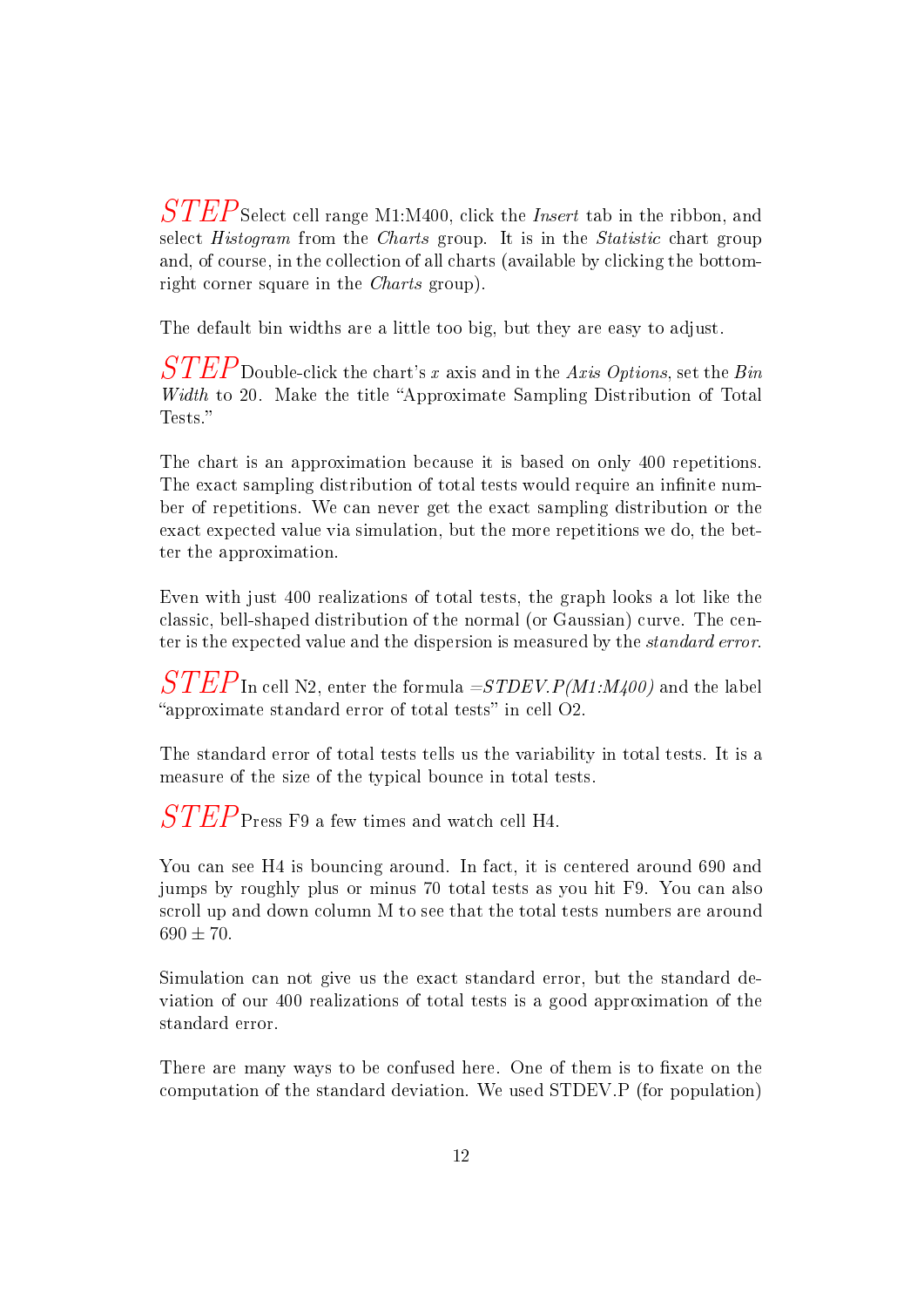$STEP$ Select cell range M1:M400, click the *Insert* tab in the ribbon, and select Histogram from the Charts group. It is in the Statistic chart group and, of course, in the collection of all charts (available by clicking the bottomright corner square in the Charts group).

The default bin widths are a little too big, but they are easy to adjust.

 $\it STEP$ Double-click the chart's x axis and in the Axis Options, set the Bin Width to 20. Make the title "Approximate Sampling Distribution of Total Tests."

The chart is an approximation because it is based on only 400 repetitions. The exact sampling distribution of total tests would require an infinite number of repetitions. We can never get the exact sampling distribution or the exact expected value via simulation, but the more repetitions we do, the better the approximation.

Even with just 400 realizations of total tests, the graph looks a lot like the classic, bell-shaped distribution of the normal (or Gaussian) curve. The center is the expected value and the dispersion is measured by the standard error.

 $\overline{STEP}_{\text{In cell N2, enter the formula }=STDEV.P(M1:M400)$  and the label "approximate standard error of total tests" in cell  $O2$ .

The standard error of total tests tells us the variability in total tests. It is a measure of the size of the typical bounce in total tests.

 $STEP$ Press F9 a few times and watch cell H4.

You can see H4 is bouncing around. In fact, it is centered around 690 and jumps by roughly plus or minus 70 total tests as you hit F9. You can also scroll up and down column M to see that the total tests numbers are around  $690 \pm 70.$ 

Simulation can not give us the exact standard error, but the standard deviation of our 400 realizations of total tests is a good approximation of the standard error.

There are many ways to be confused here. One of them is to fixate on the computation of the standard deviation. We used STDEV.P (for population)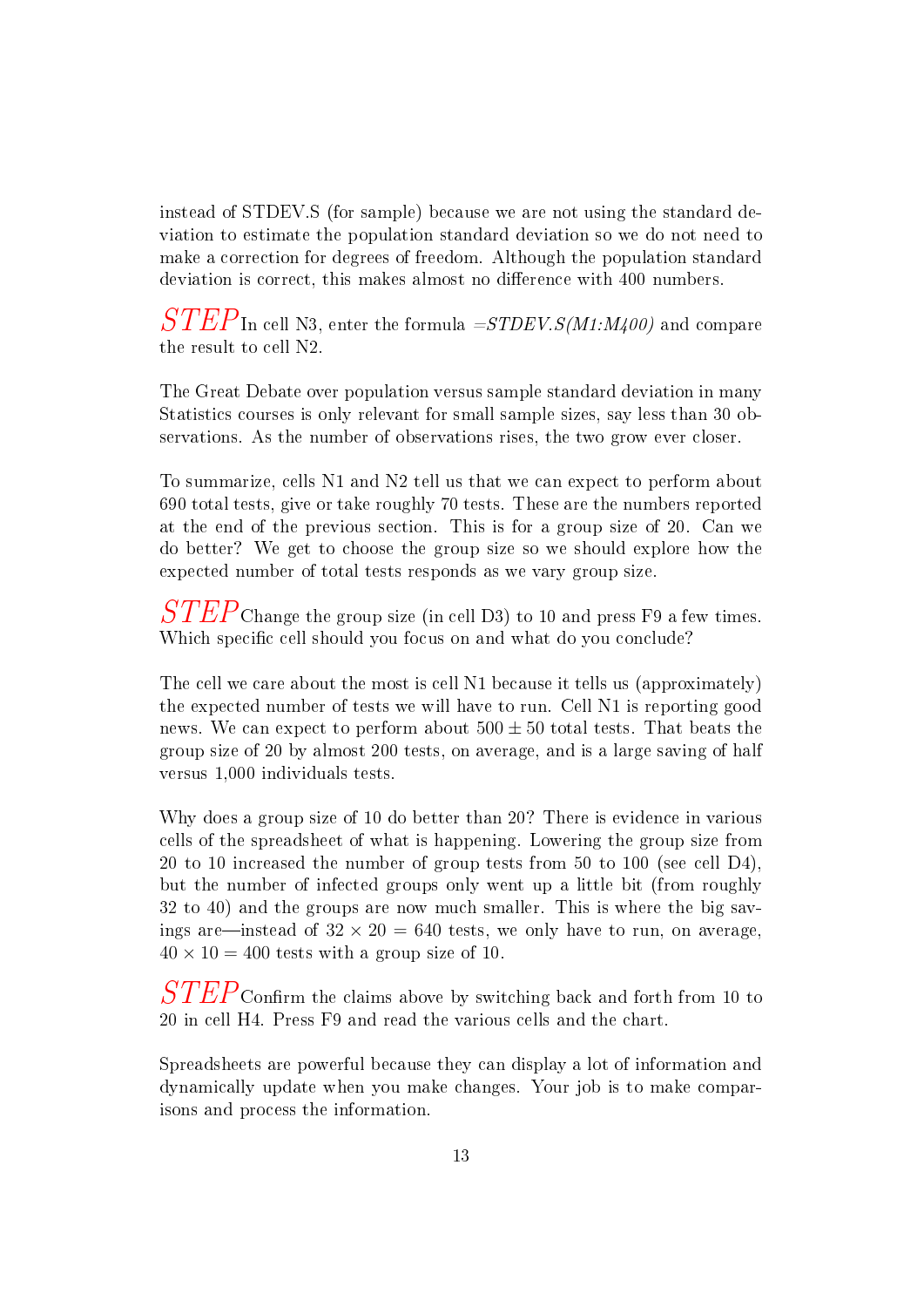instead of STDEV.S (for sample) because we are not using the standard deviation to estimate the population standard deviation so we do not need to make a correction for degrees of freedom. Although the population standard deviation is correct, this makes almost no difference with 400 numbers.

 $STEP$ In cell N3, enter the formula  $=STDEV.S(M1:M400)$  and compare the result to cell N2.

The Great Debate over population versus sample standard deviation in many Statistics courses is only relevant for small sample sizes, say less than 30 observations. As the number of observations rises, the two grow ever closer.

To summarize, cells N1 and N2 tell us that we can expect to perform about 690 total tests, give or take roughly 70 tests. These are the numbers reported at the end of the previous section. This is for a group size of 20. Can we do better? We get to choose the group size so we should explore how the expected number of total tests responds as we vary group size.

 $\it STEP$ Change the group size (in cell D3) to 10 and press F9 a few times. Which specific cell should you focus on and what do you conclude?

The cell we care about the most is cell N1 because it tells us (approximately) the expected number of tests we will have to run. Cell N1 is reporting good news. We can expect to perform about  $500 \pm 50$  total tests. That beats the group size of 20 by almost 200 tests, on average, and is a large saving of half versus 1,000 individuals tests.

Why does a group size of 10 do better than 20? There is evidence in various cells of the spreadsheet of what is happening. Lowering the group size from 20 to 10 increased the number of group tests from 50 to 100 (see cell D4), but the number of infected groups only went up a little bit (from roughly 32 to 40) and the groups are now much smaller. This is where the big savings are—instead of  $32 \times 20 = 640$  tests, we only have to run, on average,  $40 \times 10 = 400$  tests with a group size of 10.

 $\it STEP_{\rm Confirm}$  the claims above by switching back and forth from 10 to 20 in cell H4. Press F9 and read the various cells and the chart.

Spreadsheets are powerful because they can display a lot of information and dynamically update when you make changes. Your job is to make comparisons and process the information.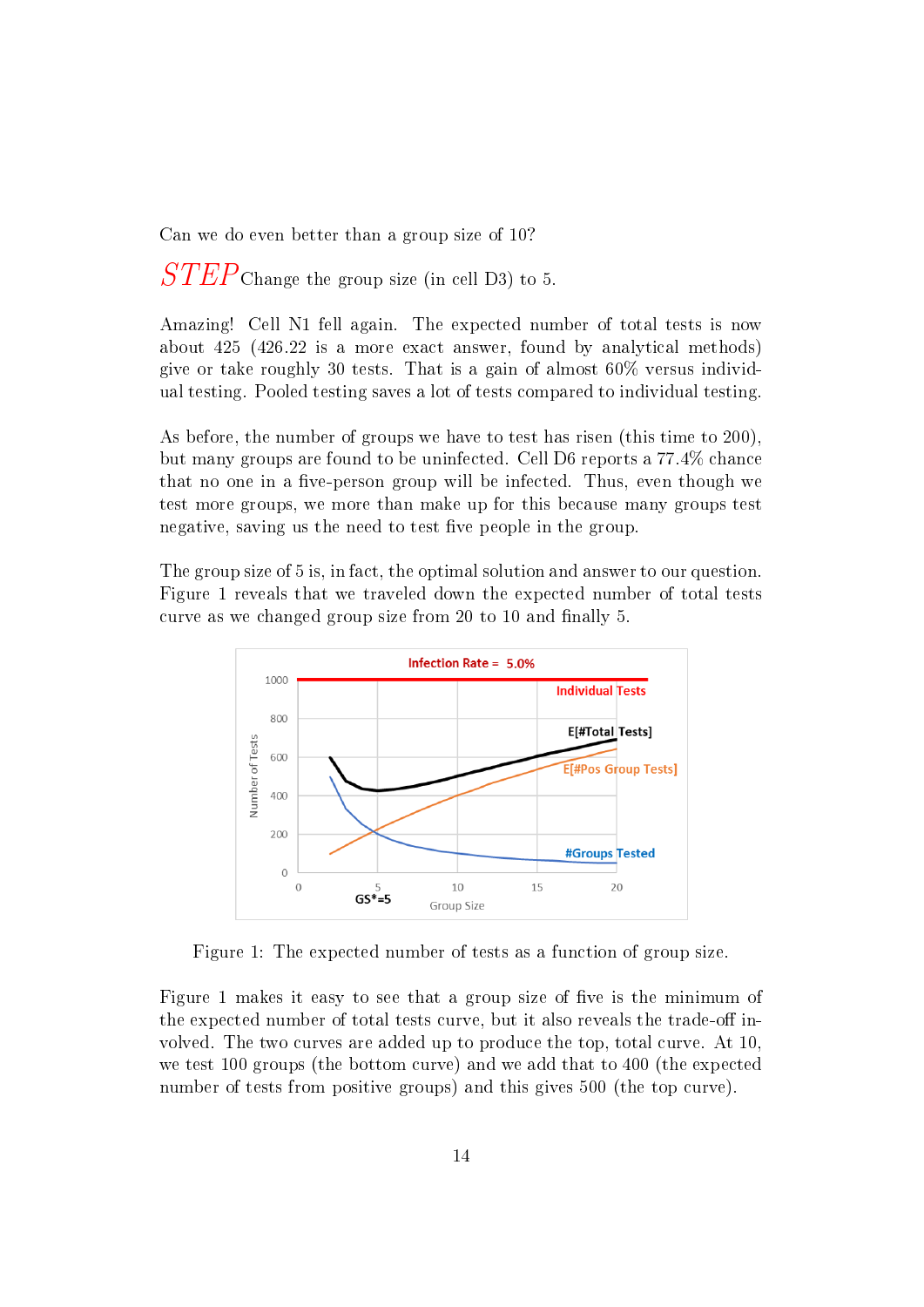Can we do even better than a group size of 10?

 $STEP$ Change the group size (in cell D3) to 5.

Amazing! Cell N1 fell again. The expected number of total tests is now about 425 (426.22 is a more exact answer, found by analytical methods) give or take roughly 30 tests. That is a gain of almost 60% versus individual testing. Pooled testing saves a lot of tests compared to individual testing.

As before, the number of groups we have to test has risen (this time to 200), but many groups are found to be uninfected. Cell D6 reports a 77.4% chance that no one in a five-person group will be infected. Thus, even though we test more groups, we more than make up for this because many groups test negative, saving us the need to test five people in the group.

The group size of 5 is, in fact, the optimal solution and answer to our question. Figure 1 reveals that we traveled down the expected number of total tests curve as we changed group size from 20 to 10 and finally 5.



Figure 1: The expected number of tests as a function of group size.

Figure 1 makes it easy to see that a group size of five is the minimum of the expected number of total tests curve, but it also reveals the trade-off involved. The two curves are added up to produce the top, total curve. At 10, we test 100 groups (the bottom curve) and we add that to 400 (the expected number of tests from positive groups) and this gives 500 (the top curve).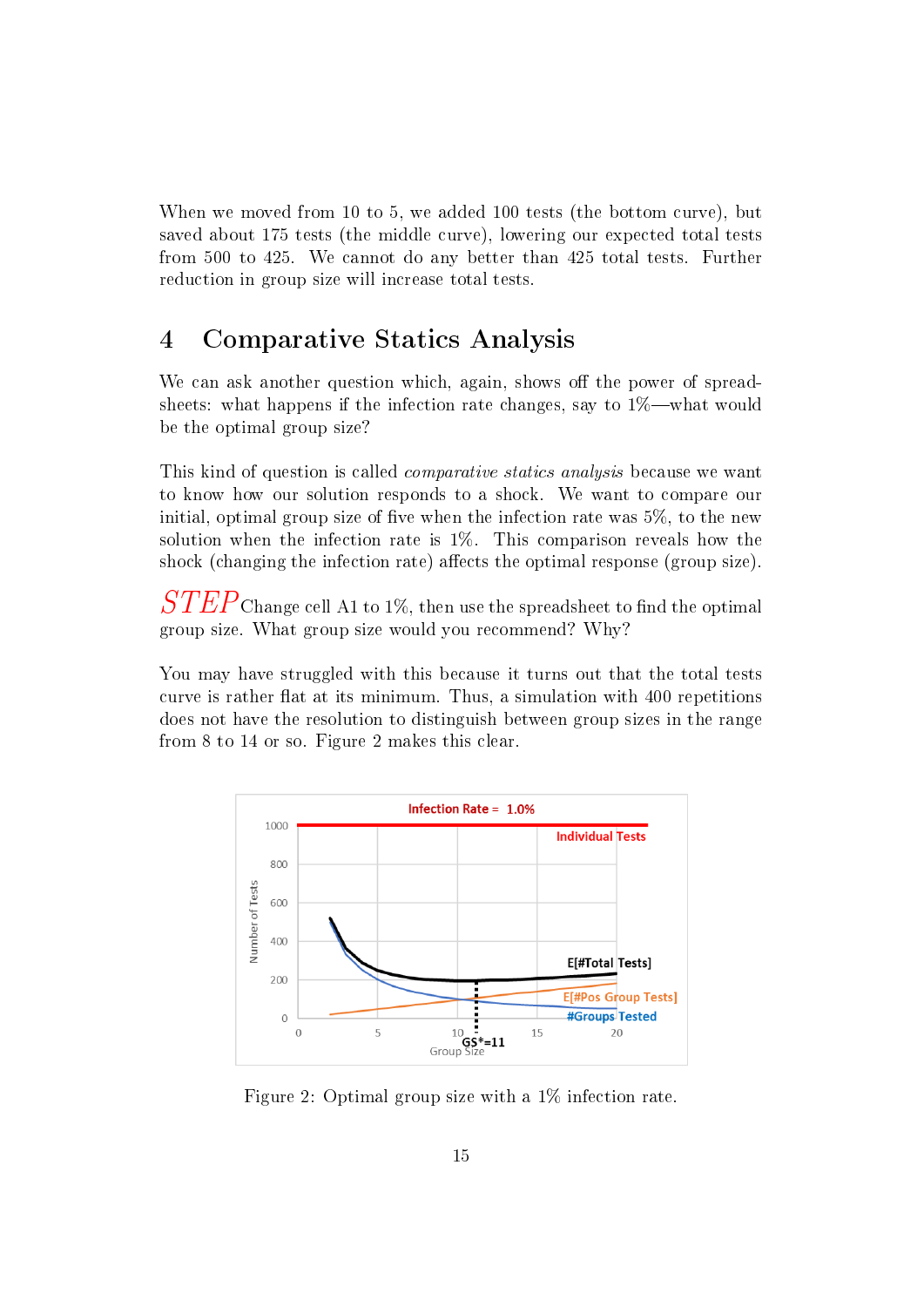When we moved from 10 to 5, we added 100 tests (the bottom curve), but saved about 175 tests (the middle curve), lowering our expected total tests from 500 to 425. We cannot do any better than 425 total tests. Further reduction in group size will increase total tests.

## 4 Comparative Statics Analysis

We can ask another question which, again, shows off the power of spreadsheets: what happens if the infection rate changes, say to  $1\%$ —what would be the optimal group size?

This kind of question is called comparative statics analysis because we want to know how our solution responds to a shock. We want to compare our initial, optimal group size of five when the infection rate was  $5\%$ , to the new solution when the infection rate is 1%. This comparison reveals how the shock (changing the infection rate) affects the optimal response (group size).

 $\it STEP$  Change cell A1 to 1%, then use the spreadsheet to find the optimal group size. What group size would you recommend? Why?

You may have struggled with this because it turns out that the total tests curve is rather flat at its minimum. Thus, a simulation with 400 repetitions does not have the resolution to distinguish between group sizes in the range from 8 to 14 or so. Figure 2 makes this clear.



Figure 2: Optimal group size with a 1% infection rate.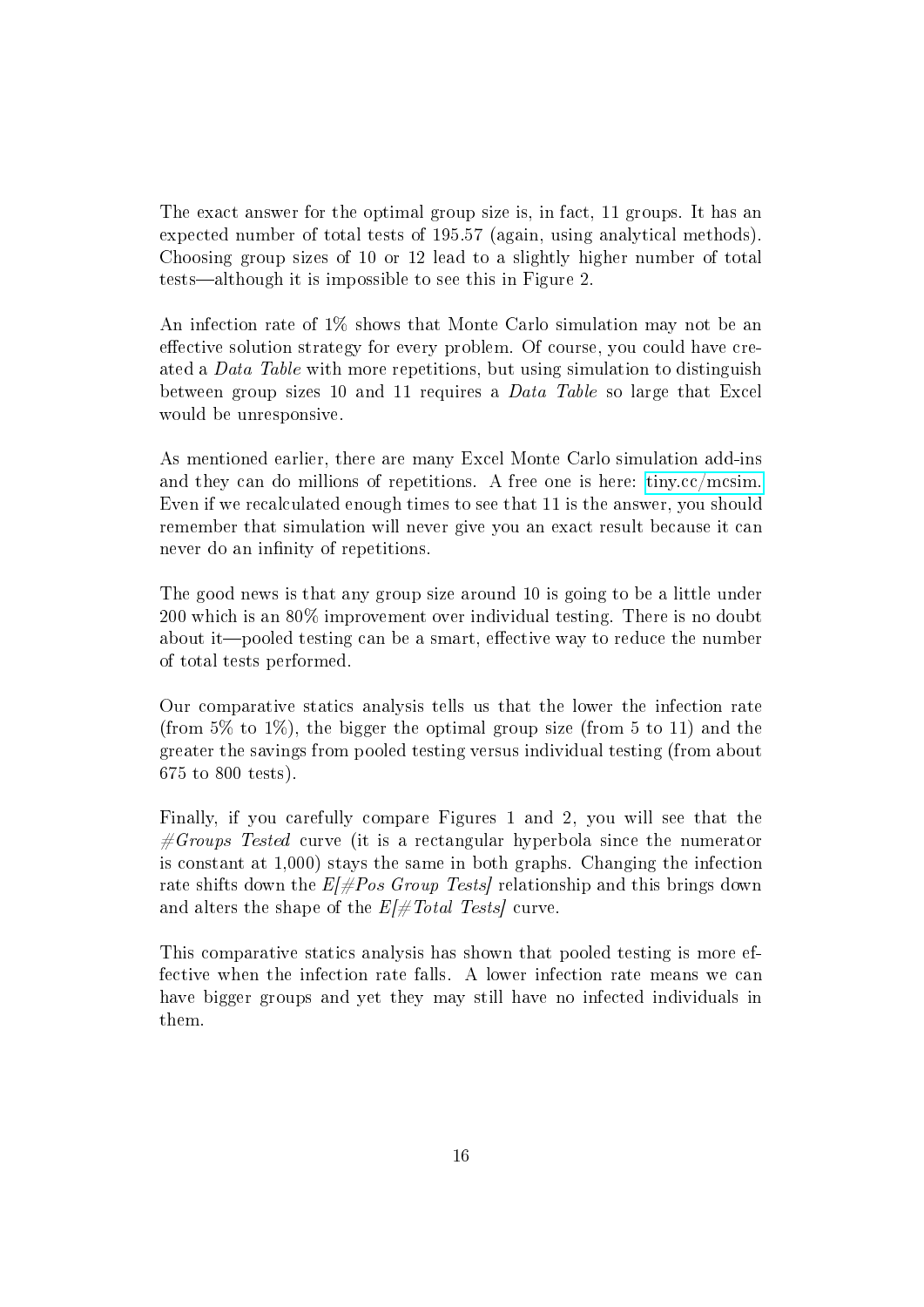The exact answer for the optimal group size is, in fact, 11 groups. It has an expected number of total tests of 195.57 (again, using analytical methods). Choosing group sizes of 10 or 12 lead to a slightly higher number of total tests—although it is impossible to see this in Figure 2.

An infection rate of 1% shows that Monte Carlo simulation may not be an effective solution strategy for every problem. Of course, you could have created a *Data Table* with more repetitions, but using simulation to distinguish between group sizes 10 and 11 requires a Data Table so large that Excel would be unresponsive.

As mentioned earlier, there are many Excel Monte Carlo simulation add-ins and they can do millions of repetitions. A free one is here: [tiny.cc/mcsim.](http://tiny.cc/mcsim) Even if we recalculated enough times to see that 11 is the answer, you should remember that simulation will never give you an exact result because it can never do an infinity of repetitions.

The good news is that any group size around 10 is going to be a little under 200 which is an 80% improvement over individual testing. There is no doubt about it—pooled testing can be a smart, effective way to reduce the number of total tests performed.

Our comparative statics analysis tells us that the lower the infection rate (from  $5\%$  to  $1\%$ ), the bigger the optimal group size (from 5 to 11) and the greater the savings from pooled testing versus individual testing (from about 675 to 800 tests).

Finally, if you carefully compare Figures 1 and 2, you will see that the  $\#Groups$  Tested curve (it is a rectangular hyperbola since the numerator is constant at 1,000) stays the same in both graphs. Changing the infection rate shifts down the  $E/\neq Pos$  Group Tests relationship and this brings down and alters the shape of the  $E/\text{\#Total Tests}$  curve.

This comparative statics analysis has shown that pooled testing is more effective when the infection rate falls. A lower infection rate means we can have bigger groups and yet they may still have no infected individuals in them.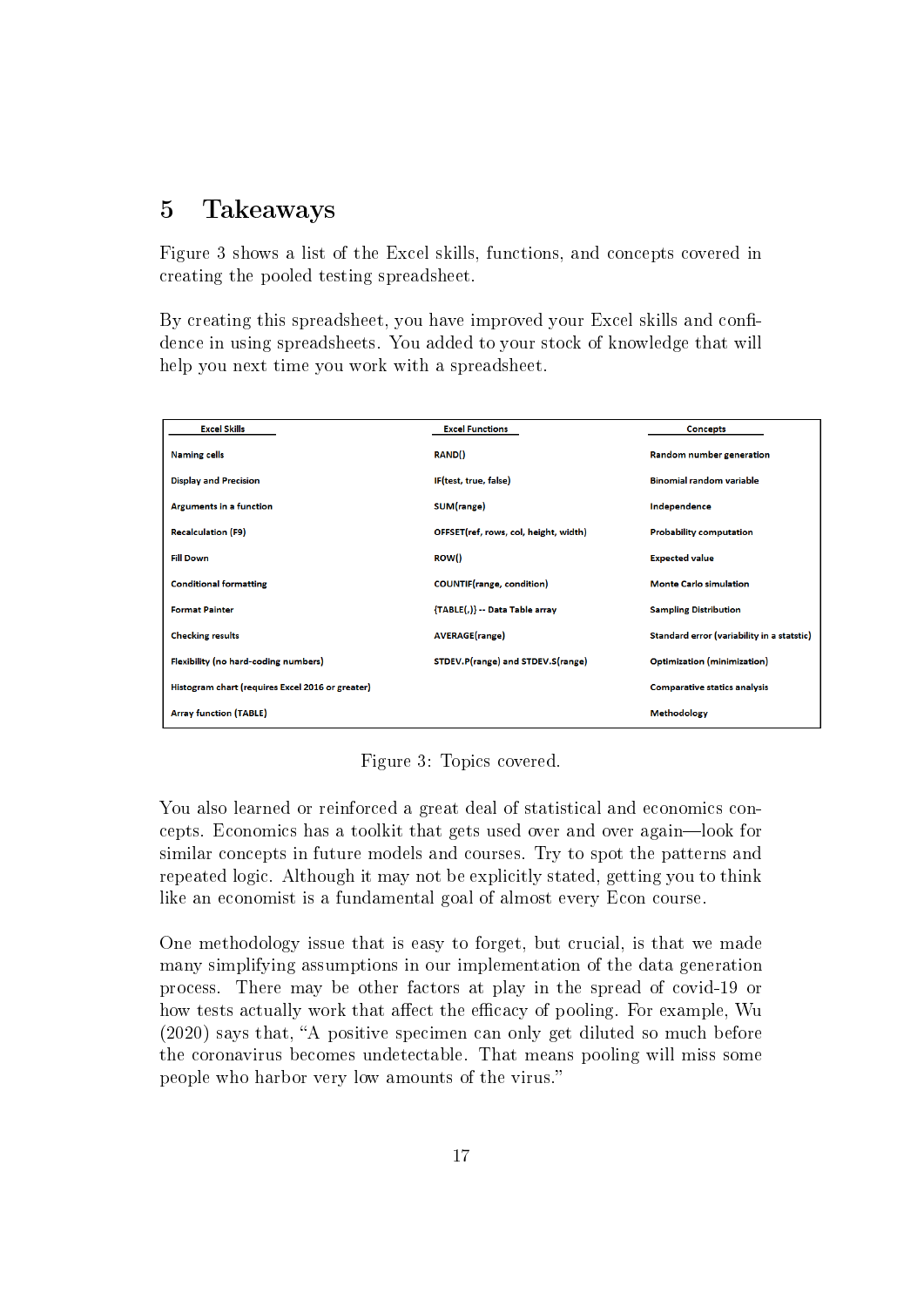### 5 Takeaways

Figure 3 shows a list of the Excel skills, functions, and concepts covered in creating the pooled testing spreadsheet.

By creating this spreadsheet, you have improved your Excel skills and confidence in using spreadsheets. You added to your stock of knowledge that will help you next time you work with a spreadsheet.

| <b>Excel Skills</b>                              | <b>Excel Functions</b>                | <b>Concepts</b>                            |
|--------------------------------------------------|---------------------------------------|--------------------------------------------|
| <b>Naming cells</b>                              | <b>RAND()</b>                         | Random number generation                   |
| <b>Display and Precision</b>                     | IF(test, true, false)                 | <b>Binomial random variable</b>            |
| <b>Arguments in a function</b>                   | SUM(range)                            | Independence                               |
| <b>Recalculation (F9)</b>                        | OFFSET(ref, rows, col, height, width) | <b>Probability computation</b>             |
| <b>Fill Down</b>                                 | ROW()                                 | <b>Expected value</b>                      |
| <b>Conditional formatting</b>                    | <b>COUNTIF</b> (range, condition)     | <b>Monte Carlo simulation</b>              |
| <b>Format Painter</b>                            | {TABLE(,)} -- Data Table array        | <b>Sampling Distribution</b>               |
| <b>Checking results</b>                          | <b>AVERAGE(range)</b>                 | Standard error (variability in a statstic) |
| Flexibility (no hard-coding numbers)             | STDEV.P(range) and STDEV.S(range)     | Optimization (minimization)                |
| Histogram chart (requires Excel 2016 or greater) |                                       | <b>Comparative statics analysis</b>        |
| <b>Array function (TABLE)</b>                    |                                       | <b>Methodology</b>                         |

Figure 3: Topics covered.

You also learned or reinforced a great deal of statistical and economics concepts. Economics has a toolkit that gets used over and over again—look for similar concepts in future models and courses. Try to spot the patterns and repeated logic. Although it may not be explicitly stated, getting you to think like an economist is a fundamental goal of almost every Econ course.

One methodology issue that is easy to forget, but crucial, is that we made many simplifying assumptions in our implementation of the data generation process. There may be other factors at play in the spread of covid-19 or how tests actually work that affect the efficacy of pooling. For example, Wu  $(2020)$  says that, "A positive specimen can only get diluted so much before the coronavirus becomes undetectable. That means pooling will miss some people who harbor very low amounts of the virus.